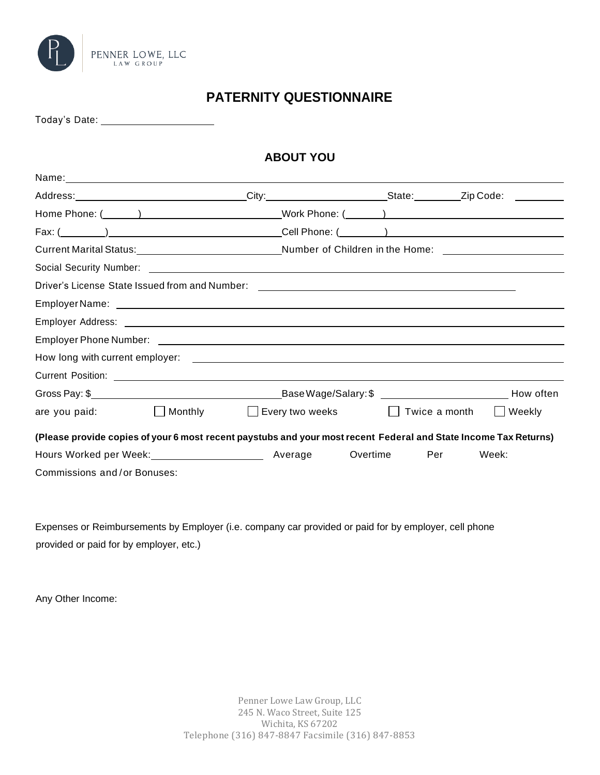

# **PATERNITY QUESTIONNAIRE**

Today's Date:

## **ABOUT YOU**

|                             |                         | Current Marital Status:__________________________________Number of Children in the Home: _____________________   |          |               |           |
|-----------------------------|-------------------------|------------------------------------------------------------------------------------------------------------------|----------|---------------|-----------|
|                             |                         |                                                                                                                  |          |               |           |
|                             |                         |                                                                                                                  |          |               |           |
|                             |                         |                                                                                                                  |          |               |           |
|                             |                         |                                                                                                                  |          |               |           |
|                             |                         |                                                                                                                  |          |               |           |
|                             |                         |                                                                                                                  |          |               |           |
|                             |                         |                                                                                                                  |          |               |           |
|                             |                         |                                                                                                                  |          |               | How often |
| are you paid:               | Monthly<br>$\mathbf{I}$ | $\Box$ Every two weeks                                                                                           |          | Twice a month | Weekly    |
|                             |                         | (Please provide copies of your 6 most recent paystubs and your most recent Federal and State Income Tax Returns) |          |               |           |
|                             |                         |                                                                                                                  | Overtime | Per           | Week:     |
| Commissions and/or Bonuses: |                         |                                                                                                                  |          |               |           |

Expenses or Reimbursements by Employer (i.e. company car provided or paid for by employer, cell phone provided or paid for by employer, etc.)

Any Other Income: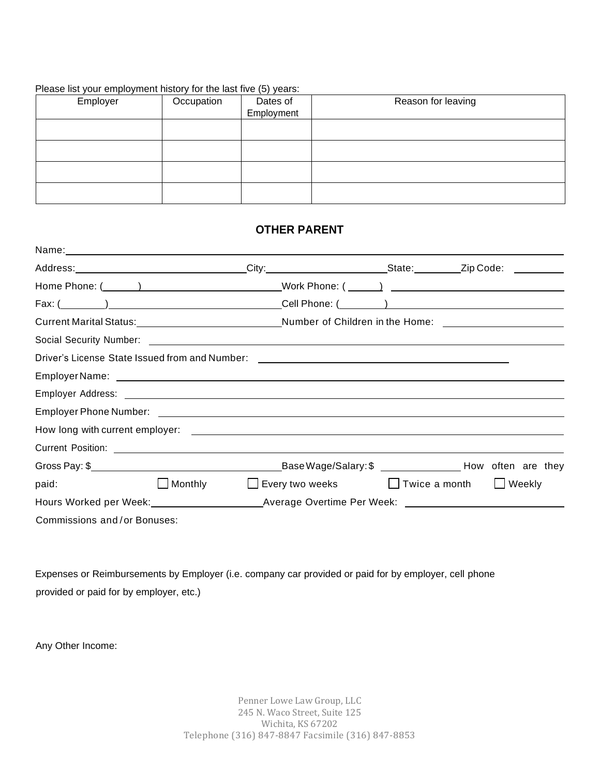#### Please list your employment history for the last five (5) years:

| Employer | Occupation | Dates of<br>Employment | Reason for leaving |
|----------|------------|------------------------|--------------------|
|          |            |                        |                    |
|          |            |                        |                    |
|          |            |                        |                    |
|          |            |                        |                    |

### **OTHER PARENT**

| Name: Name: Name: Name: Name: Name: Name: Name: Name: Name: Name: Name: Name: Name: Name: Name: Name: Name: Name: Name: Name: Name: Name: Name: Name: Name: Name: Name: Name: Name: Name: Name: Name: Name: Name: Name: Name: |                                                      |  |  |
|-------------------------------------------------------------------------------------------------------------------------------------------------------------------------------------------------------------------------------|------------------------------------------------------|--|--|
|                                                                                                                                                                                                                               |                                                      |  |  |
|                                                                                                                                                                                                                               |                                                      |  |  |
|                                                                                                                                                                                                                               |                                                      |  |  |
|                                                                                                                                                                                                                               |                                                      |  |  |
|                                                                                                                                                                                                                               |                                                      |  |  |
|                                                                                                                                                                                                                               |                                                      |  |  |
|                                                                                                                                                                                                                               |                                                      |  |  |
|                                                                                                                                                                                                                               |                                                      |  |  |
|                                                                                                                                                                                                                               |                                                      |  |  |
|                                                                                                                                                                                                                               |                                                      |  |  |
|                                                                                                                                                                                                                               |                                                      |  |  |
|                                                                                                                                                                                                                               |                                                      |  |  |
| paid:                                                                                                                                                                                                                         | □ Monthly □ Every two weeks □ Twice a month □ Weekly |  |  |
|                                                                                                                                                                                                                               |                                                      |  |  |
| Commissions and/or Bonuses:                                                                                                                                                                                                   |                                                      |  |  |

Expenses or Reimbursements by Employer (i.e. company car provided or paid for by employer, cell phone provided or paid for by employer, etc.)

Any Other Income: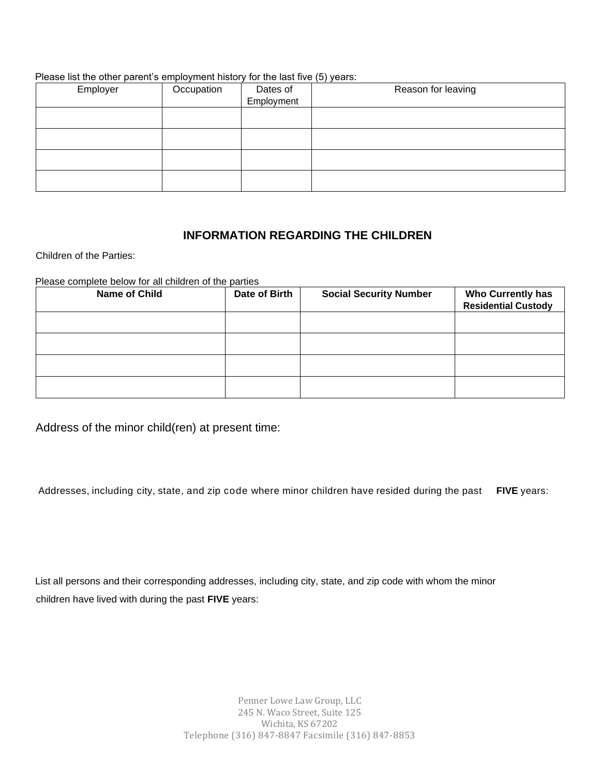#### Please list the other parent's employment history for the last five (5) years:

| Employer | Occupation | Dates of<br>Employment | Reason for leaving |
|----------|------------|------------------------|--------------------|
|          |            |                        |                    |
|          |            |                        |                    |
|          |            |                        |                    |
|          |            |                        |                    |

### **INFORMATION REGARDING THE CHILDREN**

Children of the Parties:

#### Please complete below for all children of the parties

| <b>Name of Child</b> | Date of Birth | <b>Social Security Number</b> | <b>Who Currently has</b><br><b>Residential Custody</b> |
|----------------------|---------------|-------------------------------|--------------------------------------------------------|
|                      |               |                               |                                                        |
|                      |               |                               |                                                        |
|                      |               |                               |                                                        |
|                      |               |                               |                                                        |

Address of the minor child(ren) at present time:

Addresses, including city, state, and zip code where minor children have resided during the past **FIVE** years:

List all persons and their corresponding addresses, including city, state, and zip code with whom the minor children have lived with during the past **FIVE** years: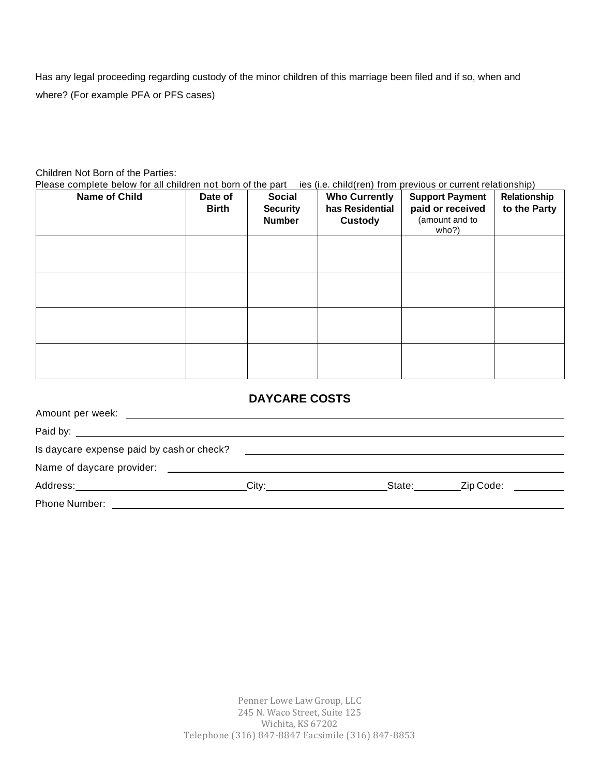Has any legal proceeding regarding custody of the minor children of this marriage been filed and if so, when and where? (For example PFA or PFS cases)

### Children Not Born of the Parties:

Please complete below for all children not born of the part ies (i.e. child(ren) from previous or current relationship)

| <b>Name of Child</b> | Date of<br><b>Birth</b> | <b>Social</b><br><b>Security</b><br><b>Number</b> | <b>Who Currently</b><br>has Residential<br><b>Custody</b> | <b>Support Payment</b><br>paid or received<br>(amount and to<br>who?) | $\blacksquare$<br>Relationship<br>to the Party |
|----------------------|-------------------------|---------------------------------------------------|-----------------------------------------------------------|-----------------------------------------------------------------------|------------------------------------------------|
|                      |                         |                                                   |                                                           |                                                                       |                                                |
|                      |                         |                                                   |                                                           |                                                                       |                                                |
|                      |                         |                                                   |                                                           |                                                                       |                                                |
|                      |                         |                                                   |                                                           |                                                                       |                                                |

### **DAYCARE COSTS**

| Is daycare expense paid by cash or check?                                                                      |       |        |           |  |
|----------------------------------------------------------------------------------------------------------------|-------|--------|-----------|--|
| Name of daycare provider: Name of the state of the state of the state of the state of the state of the state o |       |        |           |  |
| Address: _______________________                                                                               | Citv: | State: | Zip Code: |  |
| Phone Number:                                                                                                  |       |        |           |  |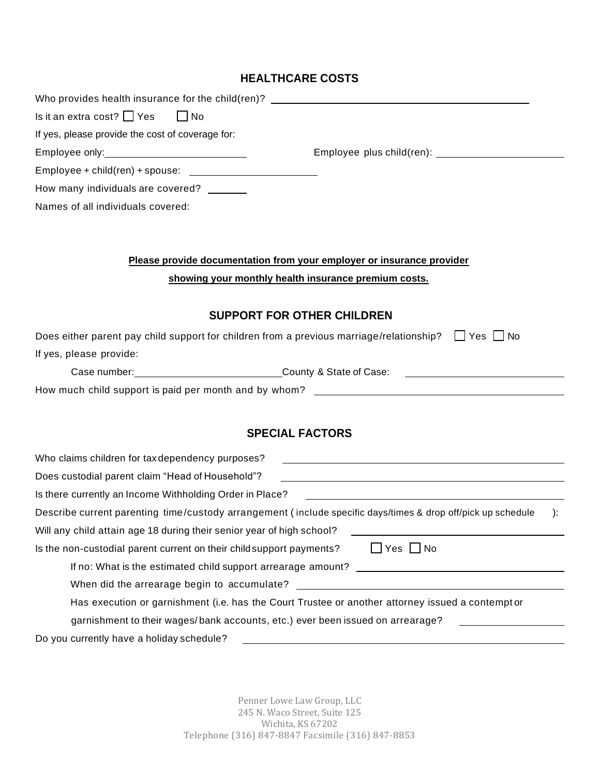## **HEALTHCARE COSTS**

| Who provides health insurance for the child(ren)? _______________________________                                                                                    |
|----------------------------------------------------------------------------------------------------------------------------------------------------------------------|
| Is it an extra cost? $\Box$ Yes<br>$\Box$ No                                                                                                                         |
| If yes, please provide the cost of coverage for:                                                                                                                     |
|                                                                                                                                                                      |
|                                                                                                                                                                      |
| How many individuals are covered? _______                                                                                                                            |
| Names of all individuals covered:                                                                                                                                    |
|                                                                                                                                                                      |
| Please provide documentation from your employer or insurance provider                                                                                                |
| showing your monthly health insurance premium costs.                                                                                                                 |
| <b>SUPPORT FOR OTHER CHILDREN</b>                                                                                                                                    |
| Does either parent pay child support for children from a previous marriage/relationship?<br>  Yes   No                                                               |
| If yes, please provide:                                                                                                                                              |
|                                                                                                                                                                      |
|                                                                                                                                                                      |
|                                                                                                                                                                      |
| <b>SPECIAL FACTORS</b>                                                                                                                                               |
| Who claims children for tax dependency purposes?                                                                                                                     |
| Does custodial parent claim "Head of Household"?<br>and the control of the control of the control of the control of the control of the control of the control of the |
| Is there currently an Income Withholding Order in Place?<br><u> 1989 - Andrea Stadt Britain, amerikansk politiker (</u>                                              |
| Describe current parenting time/custody arrangement (include specific days/times & drop off/pick up schedule<br>$\cdot$                                              |
| Will any child attain age 18 during their senior year of high school?                                                                                                |
| Is the non-custodial parent current on their childsupport payments?<br>∐ Yes ∐ No                                                                                    |
| If no: What is the estimated child support arrearage amount?<br><u> 2000 - Jan James James Barnett, amerikansk politik (d. 1878)</u>                                 |
|                                                                                                                                                                      |
| Has execution or garnishment (i.e. has the Court Trustee or another attorney issued a contempt or                                                                    |
| garnishment to their wages/bank accounts, etc.) ever been issued on arrearage?                                                                                       |
| Do you currently have a holiday schedule?                                                                                                                            |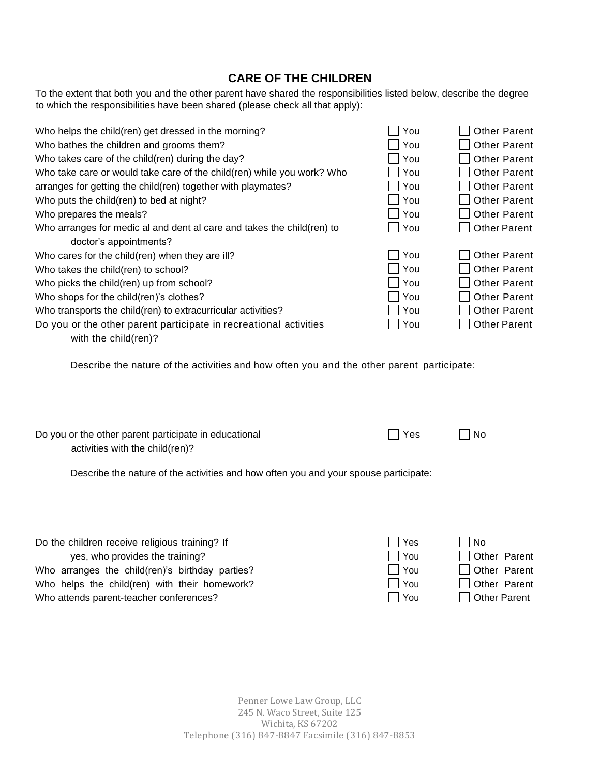### **CARE OF THE CHILDREN**

To the extent that both you and the other parent have shared the responsibilities listed below, describe the degree to which the responsibilities have been shared (please check all that apply):

| Who helps the child(ren) get dressed in the morning?                   | You | <b>Other Parent</b> |
|------------------------------------------------------------------------|-----|---------------------|
| Who bathes the children and grooms them?                               | You | <b>Other Parent</b> |
| Who takes care of the child(ren) during the day?                       | You | <b>Other Parent</b> |
| Who take care or would take care of the child(ren) while you work? Who | You | <b>Other Parent</b> |
| arranges for getting the child(ren) together with playmates?           | You | <b>Other Parent</b> |
| Who puts the child(ren) to bed at night?                               | You | <b>Other Parent</b> |
| Who prepares the meals?                                                | You | <b>Other Parent</b> |
| Who arranges for medic al and dent al care and takes the child(ren) to | You | <b>Other Parent</b> |
| doctor's appointments?                                                 |     |                     |
| Who cares for the child(ren) when they are ill?                        | You | <b>Other Parent</b> |
| Who takes the child(ren) to school?                                    | You | <b>Other Parent</b> |
| Who picks the child(ren) up from school?                               | You | <b>Other Parent</b> |
| Who shops for the child(ren)'s clothes?                                | You | <b>Other Parent</b> |
| Who transports the child(ren) to extracurricular activities?           | You | Other Parent        |
| Do you or the other parent participate in recreational activities      | You | <b>Other Parent</b> |
| with the child(ren)?                                                   |     |                     |

Describe the nature of the activities and how often you and the other parent participate:

 $\Box$  Yes  $\Box$  No

Do you or the other parent participate in educational activities with the child(ren)?

Describe the nature of the activities and how often you and your spouse participate:

| Do the children receive religious training? If  | l Yes        | l No           |
|-------------------------------------------------|--------------|----------------|
| yes, who provides the training?                 | . TYou       | Other Parent   |
| Who arranges the child(ren)'s birthday parties? | $\sqcap$ You | Other Parent   |
| Who helps the child(ren) with their homework?   | $\Box$ You   | □ Other Parent |
| Who attends parent-teacher conferences?         | . I You      | Other Parent   |